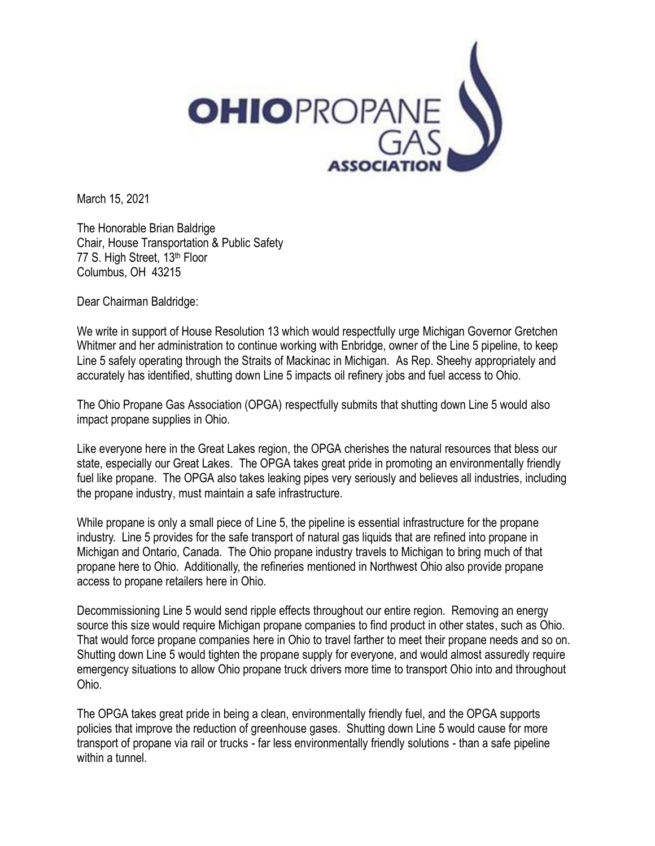

March 15, 2021

The Honorable Brian Baldrige Chair, House Transportation & Public Safety 77 S. High Street, 13<sup>th</sup> Floor Columbus, OH 43215

Dear Chairman Baldridge:

We write in support of House Resolution 13 which would respectfully urge Michigan Governor Gretchen Whitmer and her administration to continue working with Enbridge, owner of the Line 5 pipeline, to keep Line 5 safely operating through the Straits of Mackinac in Michigan. As Rep. Sheehy appropriately and accurately has identified, shutting down Line 5 impacts oil refinery jobs and fuel access to Ohio.

The Ohio Propane Gas Association (OPGA) respectfully submits that shutting down Line 5 would also impact propane supplies in Ohio.

Like everyone here in the Great Lakes region, the OPGA cherishes the natural resources that bless our state, especially our Great Lakes. The OPGA takes great pride in promoting an environmentally friendly fuel like propane. The OPGA also takes leaking pipes very seriously and believes all industries, including the propane industry, must maintain a safe infrastructure.

While propane is only a small piece of Line 5, the pipeline is essential infrastructure for the propane industry. Line 5 provides for the safe transport of natural gas liquids that are refined into propane in Michigan and Ontario, Canada. The Ohio propane industry travels to Michigan to bring much of that propane here to Ohio. Additionally, the refineries mentioned in Northwest Ohio also provide propane access to propane retailers here in Ohio.

Decommissioning Line 5 would send ripple effects throughout our entire region. Removing an energy source this size would require Michigan propane companies to find product in other states, such as Ohio. That would force propane companies here in Ohio to travel farther to meet their propane needs and so on. Shutting down Line 5 would tighten the propane supply for everyone, and would almost assuredly require emergency situations to allow Ohio propane truck drivers more time to transport Ohio into and throughout Ohio.

The OPGA takes great pride in being a clean, environmentally friendly fuel, and the OPGA supports policies that improve the reduction of greenhouse gases. Shutting down Line 5 would cause for more transport of propane via rail or trucks - far less environmentally friendly solutions - than a safe pipeline within a tunnel.